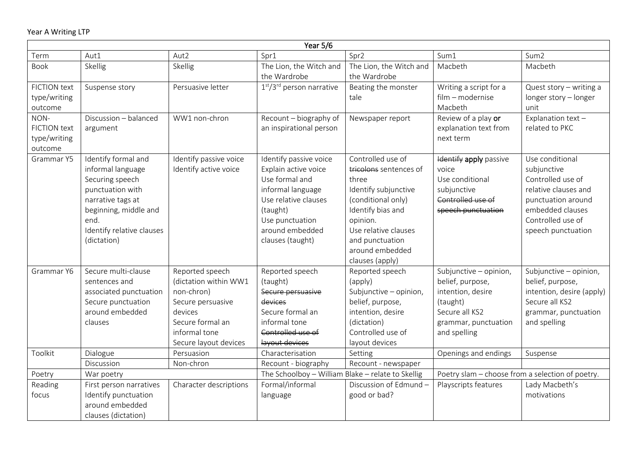|                                                        | Year 5/6                                                                                                                                                                          |                                                                                                                                                      |                                                                                                                                                                                     |                                                                                                                                                                                                                      |                                                                                                                                       |                                                                                                                                                                  |  |  |  |
|--------------------------------------------------------|-----------------------------------------------------------------------------------------------------------------------------------------------------------------------------------|------------------------------------------------------------------------------------------------------------------------------------------------------|-------------------------------------------------------------------------------------------------------------------------------------------------------------------------------------|----------------------------------------------------------------------------------------------------------------------------------------------------------------------------------------------------------------------|---------------------------------------------------------------------------------------------------------------------------------------|------------------------------------------------------------------------------------------------------------------------------------------------------------------|--|--|--|
| Term                                                   | Aut1                                                                                                                                                                              | Aut2                                                                                                                                                 | Spr1                                                                                                                                                                                | Spr2                                                                                                                                                                                                                 | Sum1                                                                                                                                  | Sum <sub>2</sub>                                                                                                                                                 |  |  |  |
| <b>Book</b>                                            | Skellig                                                                                                                                                                           | Skellig                                                                                                                                              | The Lion, the Witch and<br>the Wardrobe                                                                                                                                             | The Lion, the Witch and<br>the Wardrobe                                                                                                                                                                              | Macbeth                                                                                                                               | Macbeth                                                                                                                                                          |  |  |  |
| <b>FICTION text</b><br>type/writing<br>outcome         | Suspense story                                                                                                                                                                    | Persuasive letter                                                                                                                                    | $1st/3rd$ person narrative                                                                                                                                                          | Beating the monster<br>tale                                                                                                                                                                                          | Writing a script for a<br>film - modernise<br>Macbeth                                                                                 | Quest story $-$ writing a<br>longer story - longer<br>unit                                                                                                       |  |  |  |
| NON-<br><b>FICTION text</b><br>type/writing<br>outcome | Discussion - balanced<br>argument                                                                                                                                                 | WW1 non-chron                                                                                                                                        | Recount - biography of<br>an inspirational person                                                                                                                                   | Newspaper report                                                                                                                                                                                                     | Review of a play or<br>explanation text from<br>next term                                                                             | Explanation text -<br>related to PKC                                                                                                                             |  |  |  |
| Grammar Y5                                             | Identify formal and<br>informal language<br>Securing speech<br>punctuation with<br>narrative tags at<br>beginning, middle and<br>end.<br>Identify relative clauses<br>(dictation) | Identify passive voice<br>Identify active voice                                                                                                      | Identify passive voice<br>Explain active voice<br>Use formal and<br>informal language<br>Use relative clauses<br>(taught)<br>Use punctuation<br>around embedded<br>clauses (taught) | Controlled use of<br>tricolons sentences of<br>three<br>Identify subjunctive<br>(conditional only)<br>Identify bias and<br>opinion.<br>Use relative clauses<br>and punctuation<br>around embedded<br>clauses (apply) | Identify apply passive<br>voice<br>Use conditional<br>subjunctive<br>Controlled use of<br>speech punctuation                          | Use conditional<br>subjunctive<br>Controlled use of<br>relative clauses and<br>punctuation around<br>embedded clauses<br>Controlled use of<br>speech punctuation |  |  |  |
| Grammar Y6                                             | Secure multi-clause<br>sentences and<br>associated punctuation<br>Secure punctuation<br>around embedded<br>clauses                                                                | Reported speech<br>(dictation within WW1<br>non-chron)<br>Secure persuasive<br>devices<br>Secure formal an<br>informal tone<br>Secure layout devices | Reported speech<br>(taught)<br>Secure persuasive<br>devices<br>Secure formal an<br>informal tone<br>Controlled use of<br>layout devices                                             | Reported speech<br>(apply)<br>Subjunctive - opinion,<br>belief, purpose,<br>intention, desire<br>(dictation)<br>Controlled use of<br>layout devices                                                                  | Subjunctive - opinion,<br>belief, purpose,<br>intention, desire<br>(taught)<br>Secure all KS2<br>grammar, punctuation<br>and spelling | Subjunctive - opinion,<br>belief, purpose,<br>intention, desire (apply)<br>Secure all KS2<br>grammar, punctuation<br>and spelling                                |  |  |  |
| Toolkit                                                | Dialogue                                                                                                                                                                          | Persuasion                                                                                                                                           | Characterisation                                                                                                                                                                    | Setting                                                                                                                                                                                                              | Openings and endings                                                                                                                  | Suspense                                                                                                                                                         |  |  |  |
|                                                        | Discussion                                                                                                                                                                        | Non-chron                                                                                                                                            | Recount - biography                                                                                                                                                                 | Recount - newspaper                                                                                                                                                                                                  |                                                                                                                                       |                                                                                                                                                                  |  |  |  |
| Poetry                                                 | War poetry                                                                                                                                                                        |                                                                                                                                                      | The Schoolboy - William Blake - relate to Skellig                                                                                                                                   |                                                                                                                                                                                                                      | Poetry slam - choose from a selection of poetry.                                                                                      |                                                                                                                                                                  |  |  |  |
| Reading<br>focus                                       | First person narratives<br>Identify punctuation<br>around embedded<br>clauses (dictation)                                                                                         | Character descriptions                                                                                                                               | Formal/informal<br>language                                                                                                                                                         | Discussion of Edmund -<br>good or bad?                                                                                                                                                                               | Playscripts features                                                                                                                  | Lady Macbeth's<br>motivations                                                                                                                                    |  |  |  |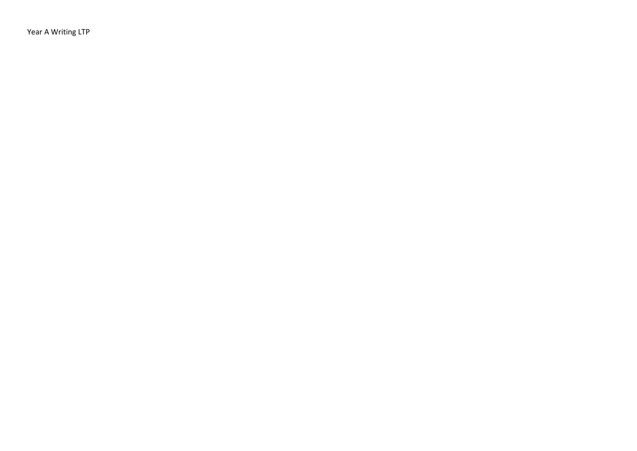Year A Writing LTP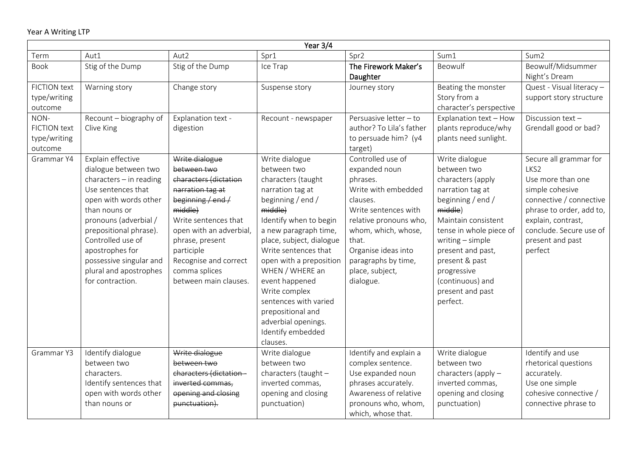| Year 3/4                                               |                                                                                                                                                                                                                                                                                                            |                                                                                                                                                                                                                                                                     |                                                                                                                                                                                                                                                                                                                                                                                                       |                                                                                                                                                                                                                                                   |                                                                                                                                                                                                                                                                                        |                                                                                                                                                                                                               |  |
|--------------------------------------------------------|------------------------------------------------------------------------------------------------------------------------------------------------------------------------------------------------------------------------------------------------------------------------------------------------------------|---------------------------------------------------------------------------------------------------------------------------------------------------------------------------------------------------------------------------------------------------------------------|-------------------------------------------------------------------------------------------------------------------------------------------------------------------------------------------------------------------------------------------------------------------------------------------------------------------------------------------------------------------------------------------------------|---------------------------------------------------------------------------------------------------------------------------------------------------------------------------------------------------------------------------------------------------|----------------------------------------------------------------------------------------------------------------------------------------------------------------------------------------------------------------------------------------------------------------------------------------|---------------------------------------------------------------------------------------------------------------------------------------------------------------------------------------------------------------|--|
| Term                                                   | Aut1                                                                                                                                                                                                                                                                                                       | Aut2                                                                                                                                                                                                                                                                | Spr1                                                                                                                                                                                                                                                                                                                                                                                                  | Spr2                                                                                                                                                                                                                                              | Sum1                                                                                                                                                                                                                                                                                   | Sum <sub>2</sub>                                                                                                                                                                                              |  |
| <b>Book</b>                                            | Stig of the Dump                                                                                                                                                                                                                                                                                           | Stig of the Dump                                                                                                                                                                                                                                                    | Ice Trap                                                                                                                                                                                                                                                                                                                                                                                              | The Firework Maker's<br>Daughter                                                                                                                                                                                                                  | Beowulf                                                                                                                                                                                                                                                                                | Beowulf/Midsummer<br>Night's Dream                                                                                                                                                                            |  |
| <b>FICTION text</b><br>type/writing<br>outcome         | Warning story                                                                                                                                                                                                                                                                                              | Change story                                                                                                                                                                                                                                                        | Suspense story                                                                                                                                                                                                                                                                                                                                                                                        | Journey story                                                                                                                                                                                                                                     | Beating the monster<br>Story from a<br>character's perspective                                                                                                                                                                                                                         | Quest - Visual literacy -<br>support story structure                                                                                                                                                          |  |
| NON-<br><b>FICTION text</b><br>type/writing<br>outcome | Recount - biography of<br>Clive King                                                                                                                                                                                                                                                                       | Explanation text -<br>digestion                                                                                                                                                                                                                                     | Recount - newspaper                                                                                                                                                                                                                                                                                                                                                                                   | Persuasive letter - to<br>author? To Lila's father<br>to persuade him? (y4<br>target)                                                                                                                                                             | Explanation text - How<br>plants reproduce/why<br>plants need sunlight.                                                                                                                                                                                                                | Discussion text-<br>Grendall good or bad?                                                                                                                                                                     |  |
| Grammar Y4                                             | Explain effective<br>dialogue between two<br>$characters - in reading$<br>Use sentences that<br>open with words other<br>than nouns or<br>pronouns (adverbial /<br>prepositional phrase).<br>Controlled use of<br>apostrophes for<br>possessive singular and<br>plural and apostrophes<br>for contraction. | Write dialogue<br>between two<br>characters (dictation<br>narration tag at<br>beginning / $end /$<br>middle)<br>Write sentences that<br>open with an adverbial,<br>phrase, present<br>participle<br>Recognise and correct<br>comma splices<br>between main clauses. | Write dialogue<br>between two<br>characters (taught<br>narration tag at<br>beginning / end /<br>middle)<br>Identify when to begin<br>a new paragraph time,<br>place, subject, dialogue<br>Write sentences that<br>open with a preposition<br>WHEN / WHERE an<br>event happened<br>Write complex<br>sentences with varied<br>prepositional and<br>adverbial openings.<br>Identify embedded<br>clauses. | Controlled use of<br>expanded noun<br>phrases.<br>Write with embedded<br>clauses.<br>Write sentences with<br>relative pronouns who,<br>whom, which, whose,<br>that.<br>Organise ideas into<br>paragraphs by time,<br>place, subject,<br>dialogue. | Write dialogue<br>between two<br>characters (apply<br>narration tag at<br>beginning / end /<br>middle)<br>Maintain consistent<br>tense in whole piece of<br>writing - simple<br>present and past,<br>present & past<br>progressive<br>(continuous) and<br>present and past<br>perfect. | Secure all grammar for<br>LKS2<br>Use more than one<br>simple cohesive<br>connective / connective<br>phrase to order, add to,<br>explain, contrast,<br>conclude. Secure use of<br>present and past<br>perfect |  |
| Grammar Y3                                             | Identify dialogue<br>between two<br>characters.<br>Identify sentences that<br>open with words other<br>than nouns or                                                                                                                                                                                       | Write dialogue<br>between two<br>characters (dictation-<br>inverted commas,<br>opening and closing<br>punctuation).                                                                                                                                                 | Write dialogue<br>between two<br>characters (taught -<br>inverted commas,<br>opening and closing<br>punctuation)                                                                                                                                                                                                                                                                                      | Identify and explain a<br>complex sentence.<br>Use expanded noun<br>phrases accurately.<br>Awareness of relative<br>pronouns who, whom,<br>which, whose that.                                                                                     | Write dialogue<br>between two<br>characters (apply -<br>inverted commas,<br>opening and closing<br>punctuation)                                                                                                                                                                        | Identify and use<br>rhetorical questions<br>accurately.<br>Use one simple<br>cohesive connective /<br>connective phrase to                                                                                    |  |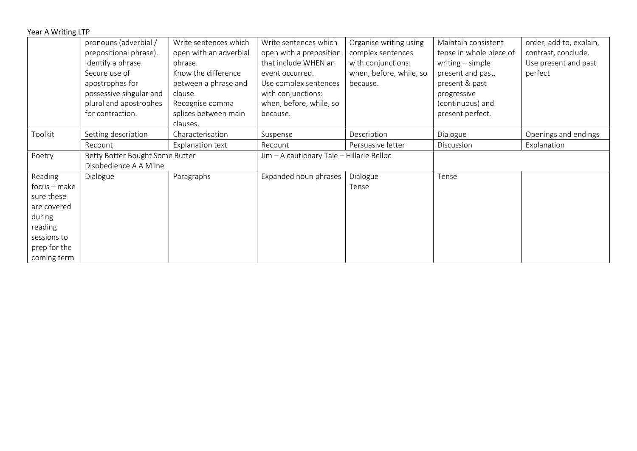| Year A Writing LTP |  |  |  |  |  |
|--------------------|--|--|--|--|--|
|--------------------|--|--|--|--|--|

|                | pronouns (adverbial /           | Write sentences which  | Write sentences which                     | Organise writing using  | Maintain consistent     | order, add to, explain, |
|----------------|---------------------------------|------------------------|-------------------------------------------|-------------------------|-------------------------|-------------------------|
|                | prepositional phrase).          | open with an adverbial | open with a preposition                   | complex sentences       | tense in whole piece of | contrast, conclude.     |
|                | Identify a phrase.              | phrase.                | that include WHEN an                      | with conjunctions:      | writing $-$ simple      | Use present and past    |
|                | Secure use of                   | Know the difference    | event occurred.                           | when, before, while, so | present and past,       | perfect                 |
|                | apostrophes for                 | between a phrase and   | Use complex sentences                     | because.                | present & past          |                         |
|                | possessive singular and         | clause.                | with conjunctions:                        |                         | progressive             |                         |
|                | plural and apostrophes          | Recognise comma        | when, before, while, so                   |                         | (continuous) and        |                         |
|                | for contraction.                | splices between main   | because.                                  |                         | present perfect.        |                         |
|                |                                 | clauses.               |                                           |                         |                         |                         |
| Toolkit        | Setting description             | Characterisation       | Suspense                                  | Description             | Dialogue                | Openings and endings    |
|                | Recount                         | Explanation text       | Recount                                   | Persuasive letter       | Discussion              | Explanation             |
| Poetry         | Betty Botter Bought Some Butter |                        | Jim - A cautionary Tale - Hillarie Belloc |                         |                         |                         |
|                | Disobedience A A Milne          |                        |                                           |                         |                         |                         |
| Reading        | Dialogue                        | Paragraphs             | Expanded noun phrases                     | Dialogue                | Tense                   |                         |
| $focus - make$ |                                 |                        |                                           | Tense                   |                         |                         |
| sure these     |                                 |                        |                                           |                         |                         |                         |
| are covered    |                                 |                        |                                           |                         |                         |                         |
| during         |                                 |                        |                                           |                         |                         |                         |
| reading        |                                 |                        |                                           |                         |                         |                         |
| sessions to    |                                 |                        |                                           |                         |                         |                         |
| prep for the   |                                 |                        |                                           |                         |                         |                         |
| coming term    |                                 |                        |                                           |                         |                         |                         |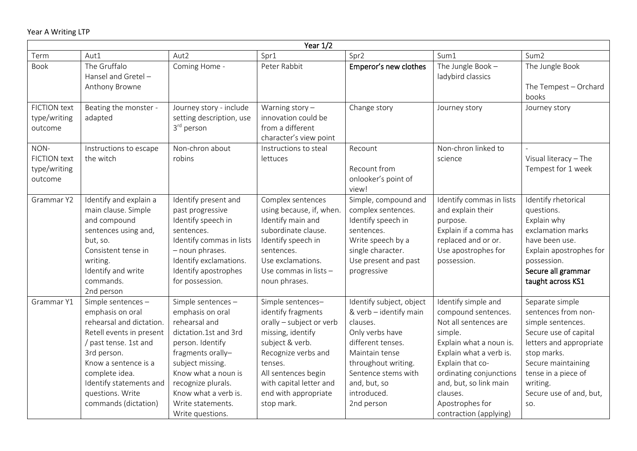| Year $1/2$                                             |                                                                                                                                                                                                                                                         |                                                                                                                                                                                                                                                             |                                                                                                                                                                                                                                       |                                                                                                                                                                                                                     |                                                                                                                                                                                                                                                                        |                                                                                                                                                                                                                           |  |  |
|--------------------------------------------------------|---------------------------------------------------------------------------------------------------------------------------------------------------------------------------------------------------------------------------------------------------------|-------------------------------------------------------------------------------------------------------------------------------------------------------------------------------------------------------------------------------------------------------------|---------------------------------------------------------------------------------------------------------------------------------------------------------------------------------------------------------------------------------------|---------------------------------------------------------------------------------------------------------------------------------------------------------------------------------------------------------------------|------------------------------------------------------------------------------------------------------------------------------------------------------------------------------------------------------------------------------------------------------------------------|---------------------------------------------------------------------------------------------------------------------------------------------------------------------------------------------------------------------------|--|--|
| Term                                                   | Aut1                                                                                                                                                                                                                                                    | Aut2                                                                                                                                                                                                                                                        | Spr1                                                                                                                                                                                                                                  | Spr2                                                                                                                                                                                                                | Sum1                                                                                                                                                                                                                                                                   | Sum <sub>2</sub>                                                                                                                                                                                                          |  |  |
| <b>Book</b>                                            | The Gruffalo<br>Hansel and Gretel-<br>Anthony Browne                                                                                                                                                                                                    | Coming Home -                                                                                                                                                                                                                                               | Peter Rabbit                                                                                                                                                                                                                          | Emperor's new clothes                                                                                                                                                                                               | The Jungle Book $-$<br>ladybird classics                                                                                                                                                                                                                               | The Jungle Book<br>The Tempest - Orchard<br>books                                                                                                                                                                         |  |  |
| <b>FICTION text</b><br>type/writing<br>outcome         | Beating the monster -<br>adapted                                                                                                                                                                                                                        | Journey story - include<br>setting description, use<br>3 <sup>rd</sup> person                                                                                                                                                                               | Warning story $-$<br>innovation could be<br>from a different<br>character's view point                                                                                                                                                | Change story                                                                                                                                                                                                        | Journey story                                                                                                                                                                                                                                                          | Journey story                                                                                                                                                                                                             |  |  |
| NON-<br><b>FICTION text</b><br>type/writing<br>outcome | Instructions to escape<br>the witch                                                                                                                                                                                                                     | Non-chron about<br>robins                                                                                                                                                                                                                                   | Instructions to steal<br>lettuces                                                                                                                                                                                                     | Recount<br>Recount from<br>onlooker's point of<br>view!                                                                                                                                                             | Non-chron linked to<br>science                                                                                                                                                                                                                                         | Visual literacy - The<br>Tempest for 1 week                                                                                                                                                                               |  |  |
| Grammar Y2                                             | Identify and explain a<br>main clause. Simple<br>and compound<br>sentences using and,<br>but, so.<br>Consistent tense in<br>writing.<br>Identify and write<br>commands.<br>2nd person                                                                   | Identify present and<br>past progressive<br>Identify speech in<br>sentences.<br>Identify commas in lists<br>- noun phrases.<br>Identify exclamations.<br>Identify apostrophes<br>for possession.                                                            | Complex sentences<br>using because, if, when<br>Identify main and<br>subordinate clause.<br>Identify speech in<br>sentences.<br>Use exclamations.<br>Use commas in lists -<br>noun phrases.                                           | Simple, compound and<br>complex sentences.<br>Identify speech in<br>sentences.<br>Write speech by a<br>single character.<br>Use present and past<br>progressive                                                     | Identify commas in lists<br>and explain their<br>purpose.<br>Explain if a comma has<br>replaced and or or.<br>Use apostrophes for<br>possession.                                                                                                                       | Identify rhetorical<br>questions.<br>Explain why<br>exclamation marks<br>have been use.<br>Explain apostrophes for<br>possession.<br>Secure all grammar<br>taught across KS1                                              |  |  |
| Grammar Y1                                             | Simple sentences -<br>emphasis on oral<br>rehearsal and dictation.<br>Retell events in present<br>/ past tense. 1st and<br>3rd person.<br>Know a sentence is a<br>complete idea.<br>Identify statements and<br>questions. Write<br>commands (dictation) | Simple sentences -<br>emphasis on oral<br>rehearsal and<br>dictation.1st and 3rd<br>person. Identify<br>fragments orally-<br>subject missing.<br>Know what a noun is<br>recognize plurals.<br>Know what a verb is.<br>Write statements.<br>Write questions. | Simple sentences-<br>identify fragments<br>orally - subject or verb<br>missing, identify<br>subject & verb.<br>Recognize verbs and<br>tenses.<br>All sentences begin<br>with capital letter and<br>end with appropriate<br>stop mark. | Identify subject, object<br>& verb - identify main<br>clauses.<br>Only verbs have<br>different tenses.<br>Maintain tense<br>throughout writing.<br>Sentence stems with<br>and, but, so<br>introduced.<br>2nd person | Identify simple and<br>compound sentences.<br>Not all sentences are<br>simple.<br>Explain what a noun is.<br>Explain what a verb is.<br>Explain that co-<br>ordinating conjunctions<br>and, but, so link main<br>clauses.<br>Apostrophes for<br>contraction (applying) | Separate simple<br>sentences from non-<br>simple sentences.<br>Secure use of capital<br>letters and appropriate<br>stop marks.<br>Secure maintaining<br>tense in a piece of<br>writing.<br>Secure use of and, but,<br>SO. |  |  |